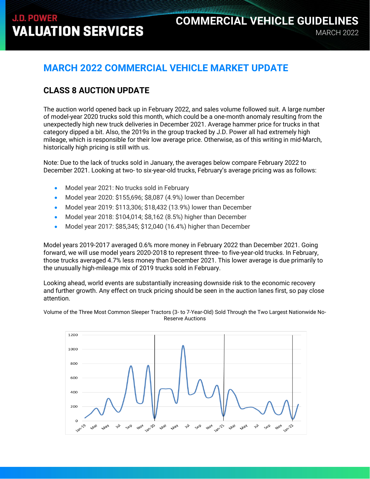## MARCH 2022 **COMMERCIAL VEHICLE GUIDELINES**

## **MARCH 2022 COMMERCIAL VEHICLE MARKET UPDATE**

## **CLASS 8 AUCTION UPDATE**

The auction world opened back up in February 2022, and sales volume followed suit. A large number of model-year 2020 trucks sold this month, which could be a one-month anomaly resulting from the unexpectedly high new truck deliveries in December 2021. Average hammer price for trucks in that category dipped a bit. Also, the 2019s in the group tracked by J.D. Power all had extremely high mileage, which is responsible for their low average price. Otherwise, as of this writing in mid-March, historically high pricing is still with us.

Note: Due to the lack of trucks sold in January, the averages below compare February 2022 to December 2021. Looking at two- to six-year-old trucks, February's average pricing was as follows:

- Model year 2021: No trucks sold in February
- Model year 2020: \$155,696; \$8,087 (4.9%) lower than December
- Model year 2019: \$113,306; \$18,432 (13.9%) lower than December
- Model year 2018: \$104,014; \$8,162 (8.5%) higher than December
- Model year 2017: \$85,345; \$12,040 (16.4%) higher than December

Model years 2019-2017 averaged 0.6% more money in February 2022 than December 2021. Going forward, we will use model years 2020-2018 to represent three- to five-year-old trucks. In February, those trucks averaged 4.7% less money than December 2021. This lower average is due primarily to the unusually high-mileage mix of 2019 trucks sold in February.

Looking ahead, world events are substantially increasing downside risk to the economic recovery and further growth. Any effect on truck pricing should be seen in the auction lanes first, so pay close attention.

Volume of the Three Most Common Sleeper Tractors (3- to 7-Year-Old) Sold Through the Two Largest Nationwide No-Reserve Auctions

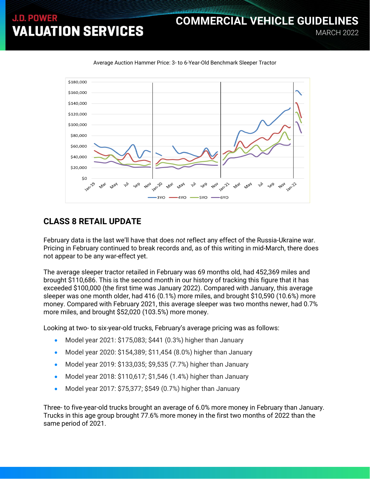## MARCH 2022 **COMMERCIAL VEHICLE GUIDELINES**



Average Auction Hammer Price: 3- to 6-Year-Old Benchmark Sleeper Tractor

### **CLASS 8 RETAIL UPDATE**

February data is the last we'll have that does *not* reflect any effect of the Russia-Ukraine war. Pricing in February continued to break records and, as of this writing in mid-March, there does not appear to be any war-effect yet.

The average sleeper tractor retailed in February was 69 months old, had 452,369 miles and brought \$110,686. This is the second month in our history of tracking this figure that it has exceeded \$100,000 (the first time was January 2022). Compared with January, this average sleeper was one month older, had 416 (0.1%) more miles, and brought \$10,590 (10.6%) more money. Compared with February 2021, this average sleeper was two months newer, had 0.7% more miles, and brought \$52,020 (103.5%) more money.

Looking at two- to six-year-old trucks, February's average pricing was as follows:

- Model year 2021: \$175,083; \$441 (0.3%) higher than January
- Model year 2020: \$154,389; \$11,454 (8.0%) higher than January
- Model year 2019: \$133,035; \$9,535 (7.7%) higher than January
- Model year 2018: \$110,617; \$1,546 (1.4%) higher than January
- Model year 2017: \$75,377; \$549 (0.7%) higher than January

Three- to five-year-old trucks brought an average of 6.0% more money in February than January. Trucks in this age group brought 77.6% more money in the first two months of 2022 than the same period of 2021.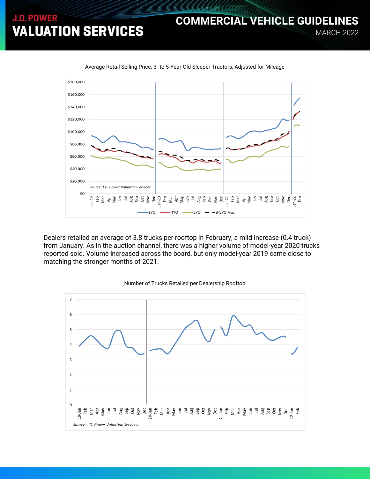### \$180,000 \$160,000 \$140,000 \$120,000 \$100,000 \$80,000 \$60,000 \$40,000 \$20,000 Source: J.D. Power Valuation Services \$0 Bin-19<br>Feb<br>Mar & Ang Si 3<br>Aug 3YO  $-4YO$  $-3-5YO$  Avg. SYO-

Average Retail Selling Price: 3- to 5-Year-Old Sleeper Tractors, Adjusted for Mileage

Dealers retailed an average of 3.8 trucks per rooftop in February, a mild increase (0.4 truck) from January. As in the auction channel, there was a higher volume of model-year 2020 trucks reported sold. Volume increased across the board, but only model-year 2019 came close to matching the stronger months of 2021.



#### Number of Trucks Retailed per Dealership Rooftop

**COMMERCIAL VEHICLE GUIDELINES**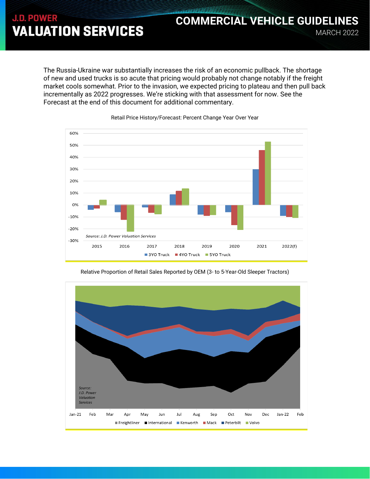### The Russia-Ukraine war substantially increases the risk of an economic pullback. The shortage of new and used trucks is so acute that pricing would probably not change notably if the freight market cools somewhat. Prior to the invasion, we expected pricing to plateau and then pull back incrementally as 2022 progresses. We're sticking with that assessment for now. See the Forecast at the end of this document for additional commentary.

MARCH 2022

**COMMERCIAL VEHICLE GUIDELINES**



Retail Price History/Forecast: Percent Change Year Over Year



Relative Proportion of Retail Sales Reported by OEM (3- to 5-Year-Old Sleeper Tractors)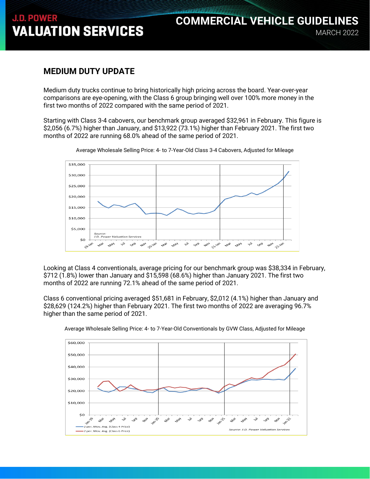## MARCH 2022 **COMMERCIAL VEHICLE GUIDELINES**

### **MEDIUM DUTY UPDATE**

Medium duty trucks continue to bring historically high pricing across the board. Year-over-year comparisons are eye-opening, with the Class 6 group bringing well over 100% more money in the first two months of 2022 compared with the same period of 2021.

Starting with Class 3-4 cabovers, our benchmark group averaged \$32,961 in February. This figure is \$2,056 (6.7%) higher than January, and \$13,922 (73.1%) higher than February 2021. The first two months of 2022 are running 68.0% ahead of the same period of 2021.



Average Wholesale Selling Price: 4- to 7-Year-Old Class 3-4 Cabovers, Adjusted for Mileage

Looking at Class 4 conventionals, average pricing for our benchmark group was \$38,334 in February, \$712 (1.8%) lower than January and \$15,598 (68.6%) higher than January 2021. The first two months of 2022 are running 72.1% ahead of the same period of 2021.

Class 6 conventional pricing averaged \$51,681 in February, \$2,012 (4.1%) higher than January and \$28,629 (124.2%) higher than February 2021. The first two months of 2022 are averaging 96.7% higher than the same period of 2021.



Average Wholesale Selling Price: 4- to 7-Year-Old Conventionals by GVW Class, Adjusted for Mileage